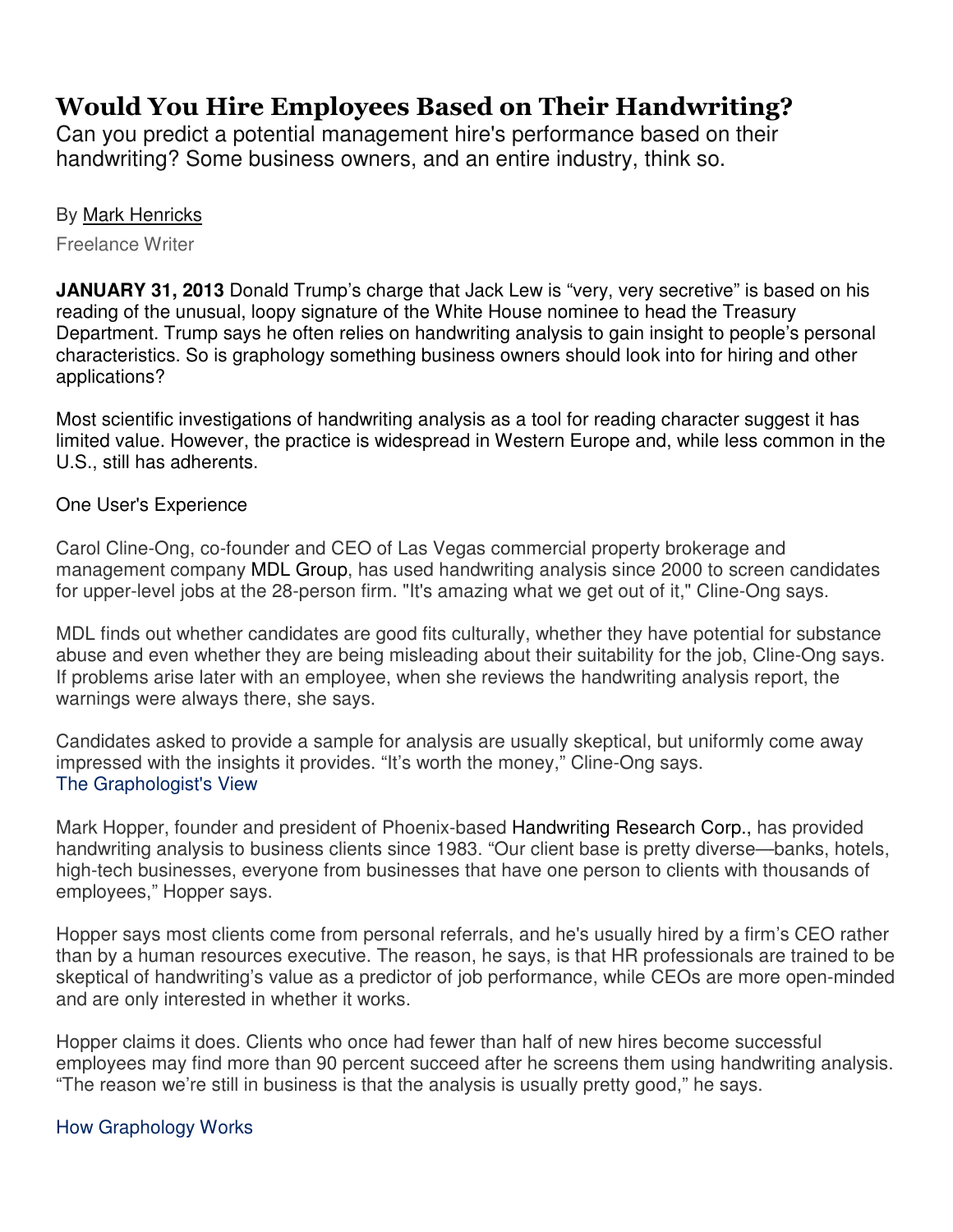## Would You Hire Employees Based on Their Handwriting?

Can you predict a potential management hire's performance based on their handwriting? Some business owners, and an entire industry, think so.

## By Mark Henricks

Freelance Writer

**JANUARY 31, 2013** Donald Trump's charge that Jack Lew is "very, very secretive" is based on his reading of the unusual, loopy signature of the White House nominee to head the Treasury Department. Trump says he often relies on handwriting analysis to gain insight to people's personal characteristics. So is graphology something business owners should look into for hiring and other applications?

Most scientific investigations of handwriting analysis as a tool for reading character suggest it has limited value. However, the practice is widespread in Western Europe and, while less common in the U.S., still has adherents.

## One User's Experience

Carol Cline-Ong, co-founder and CEO of Las Vegas commercial property brokerage and management company MDL Group, has used handwriting analysis since 2000 to screen candidates for upper-level jobs at the 28-person firm. "It's amazing what we get out of it," Cline-Ong says.

MDL finds out whether candidates are good fits culturally, whether they have potential for substance abuse and even whether they are being misleading about their suitability for the job, Cline-Ong says. If problems arise later with an employee, when she reviews the handwriting analysis report, the warnings were always there, she says.

Candidates asked to provide a sample for analysis are usually skeptical, but uniformly come away impressed with the insights it provides. "It's worth the money," Cline-Ong says. The Graphologist's View

Mark Hopper, founder and president of Phoenix-based Handwriting Research Corp., has provided handwriting analysis to business clients since 1983. "Our client base is pretty diverse—banks, hotels, high-tech businesses, everyone from businesses that have one person to clients with thousands of employees," Hopper says.

Hopper says most clients come from personal referrals, and he's usually hired by a firm's CEO rather than by a human resources executive. The reason, he says, is that HR professionals are trained to be skeptical of handwriting's value as a predictor of job performance, while CEOs are more open-minded and are only interested in whether it works.

Hopper claims it does. Clients who once had fewer than half of new hires become successful employees may find more than 90 percent succeed after he screens them using handwriting analysis. "The reason we're still in business is that the analysis is usually pretty good," he says.

## How Graphology Works